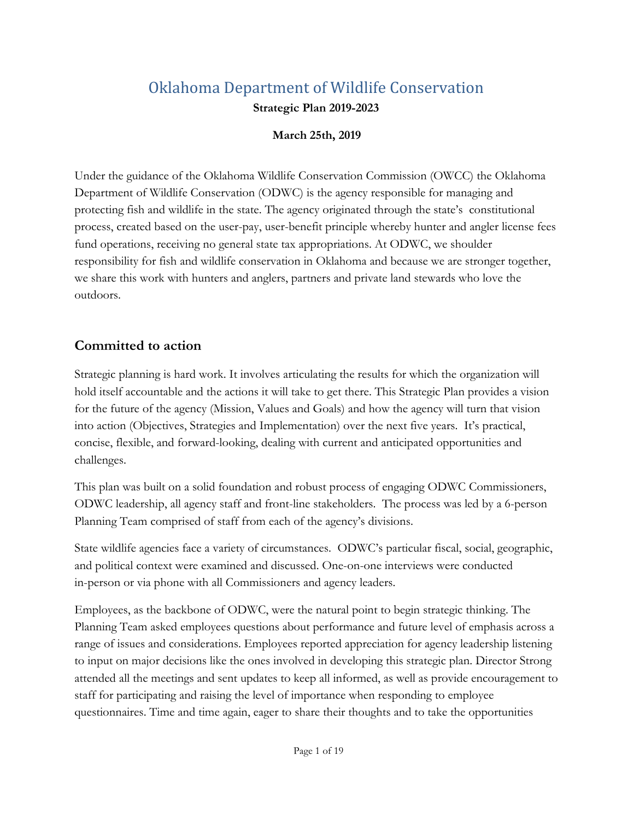# Oklahoma Department of Wildlife Conservation **Strategic Plan 2019-2023**

### **March 25th, 2019**

Under the guidance of the Oklahoma Wildlife Conservation Commission (OWCC) the Oklahoma Department of Wildlife Conservation (ODWC) is the agency responsible for managing and protecting fish and wildlife in the state. The agency originated through the state's constitutional process, created based on the user-pay, user-benefit principle whereby hunter and angler license fees fund operations, receiving no general state tax appropriations. At ODWC, we shoulder responsibility for fish and wildlife conservation in Oklahoma and because we are stronger together, we share this work with hunters and anglers, partners and private land stewards who love the outdoors.

## **Committed to action**

Strategic planning is hard work. It involves articulating the results for which the organization will hold itself accountable and the actions it will take to get there. This Strategic Plan provides a vision for the future of the agency (Mission, Values and Goals) and how the agency will turn that vision into action (Objectives, Strategies and Implementation) over the next five years. It's practical, concise, flexible, and forward-looking, dealing with current and anticipated opportunities and challenges.

This plan was built on a solid foundation and robust process of engaging ODWC Commissioners, ODWC leadership, all agency staff and front-line stakeholders. The process was led by a 6-person Planning Team comprised of staff from each of the agency's divisions.

State wildlife agencies face a variety of circumstances. ODWC's particular fiscal, social, geographic, and political context were examined and discussed. One-on-one interviews were conducted in-person or via phone with all Commissioners and agency leaders.

Employees, as the backbone of ODWC, were the natural point to begin strategic thinking. The Planning Team asked employees questions about performance and future level of emphasis across a range of issues and considerations. Employees reported appreciation for agency leadership listening to input on major decisions like the ones involved in developing this strategic plan. Director Strong attended all the meetings and sent updates to keep all informed, as well as provide encouragement to staff for participating and raising the level of importance when responding to employee questionnaires. Time and time again, eager to share their thoughts and to take the opportunities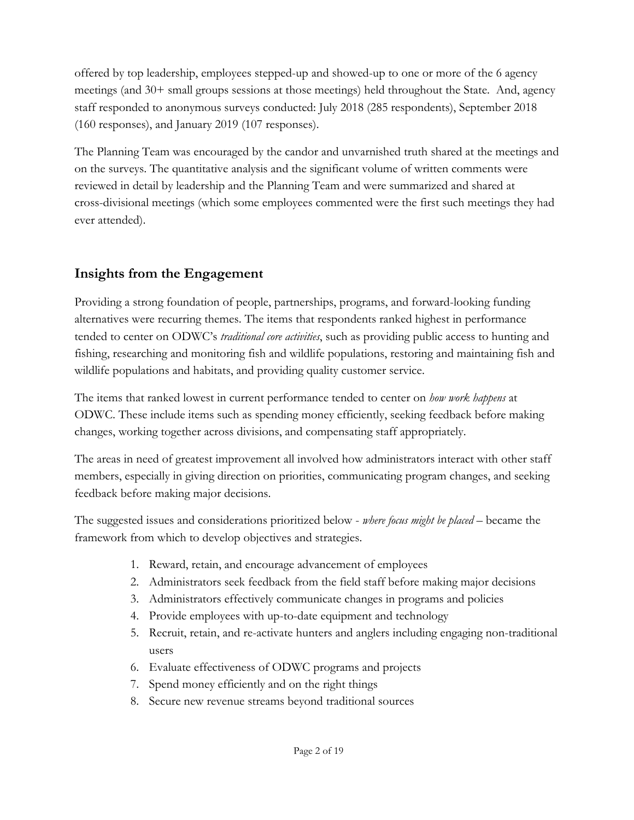offered by top leadership, employees stepped-up and showed-up to one or more of the 6 agency meetings (and 30+ small groups sessions at those meetings) held throughout the State. And, agency staff responded to anonymous surveys conducted: July 2018 (285 respondents), September 2018 (160 responses), and January 2019 (107 responses).

The Planning Team was encouraged by the candor and unvarnished truth shared at the meetings and on the surveys. The quantitative analysis and the significant volume of written comments were reviewed in detail by leadership and the Planning Team and were summarized and shared at cross-divisional meetings (which some employees commented were the first such meetings they had ever attended).

# **Insights from the Engagement**

Providing a strong foundation of people, partnerships, programs, and forward-looking funding alternatives were recurring themes. The items that respondents ranked highest in performance tended to center on ODWC's *traditional core activities*, such as providing public access to hunting and fishing, researching and monitoring fish and wildlife populations, restoring and maintaining fish and wildlife populations and habitats, and providing quality customer service.

The items that ranked lowest in current performance tended to center on *how work happens* at ODWC. These include items such as spending money efficiently, seeking feedback before making changes, working together across divisions, and compensating staff appropriately.

The areas in need of greatest improvement all involved how administrators interact with other staff members, especially in giving direction on priorities, communicating program changes, and seeking feedback before making major decisions.

The suggested issues and considerations prioritized below - *where focus might be placed* – became the framework from which to develop objectives and strategies.

- 1. Reward, retain, and encourage advancement of employees
- 2. Administrators seek feedback from the field staff before making major decisions
- 3. Administrators effectively communicate changes in programs and policies
- 4. Provide employees with up-to-date equipment and technology
- 5. Recruit, retain, and re-activate hunters and anglers including engaging non-traditional users
- 6. Evaluate effectiveness of ODWC programs and projects
- 7. Spend money efficiently and on the right things
- 8. Secure new revenue streams beyond traditional sources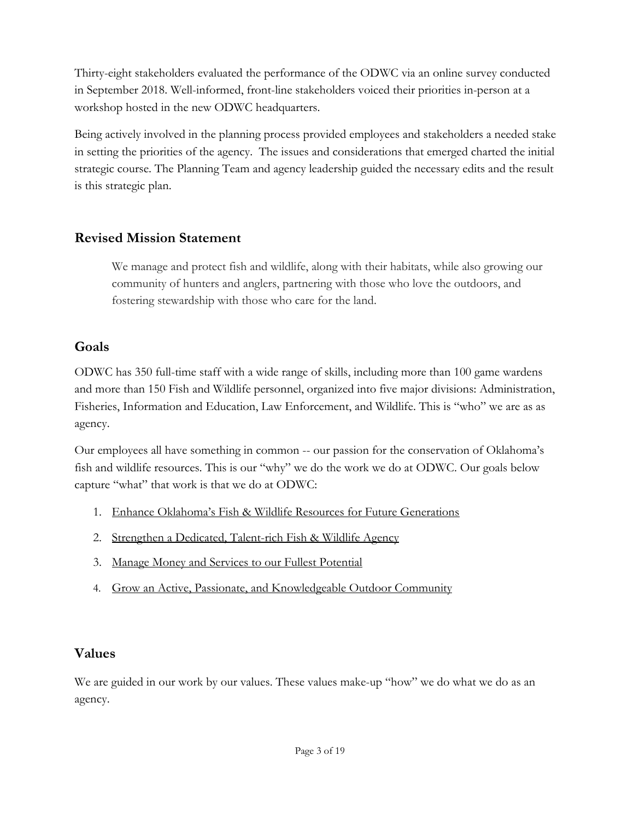Thirty-eight stakeholders evaluated the performance of the ODWC via an online survey conducted in September 2018. Well-informed, front-line stakeholders voiced their priorities in-person at a workshop hosted in the new ODWC headquarters.

Being actively involved in the planning process provided employees and stakeholders a needed stake in setting the priorities of the agency. The issues and considerations that emerged charted the initial strategic course. The Planning Team and agency leadership guided the necessary edits and the result is this strategic plan.

# **Revised Mission Statement**

We manage and protect fish and wildlife, along with their habitats, while also growing our community of hunters and anglers, partnering with those who love the outdoors, and fostering stewardship with those who care for the land.

# **Goals**

ODWC has 350 full-time staff with a wide range of skills, including more than 100 game wardens and more than 150 Fish and Wildlife personnel, organized into five major divisions: Administration, Fisheries, Information and Education, Law Enforcement, and Wildlife. This is "who" we are as as agency.

Our employees all have something in common -- our passion for the conservation of Oklahoma's fish and wildlife resources*.* This is our "why" we do the work we do at ODWC. Our goals below capture "what" that work is that we do at ODWC:

- 1. [Enhance Oklahoma's Fish & Wildlife Resources for Future Generations](#page-3-0)
- 2. Strengthen a Dedicated, Talent-rich Fish & Wildlife Agency
- 3. [Manage Money and Services to our Fullest Potential](#page-9-0)
- 4. [Grow an Active, Passionate, and Knowledgeable Outdoor Community](#page-10-0)

# **Values**

We are guided in our work by our values. These values make-up "how" we do what we do as an agency.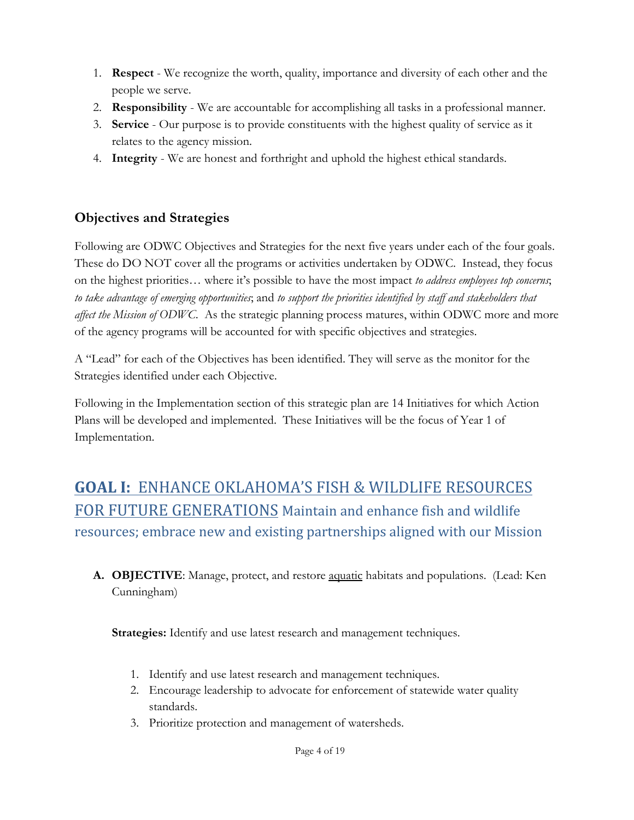- 1. **Respect**  We recognize the worth, quality, importance and diversity of each other and the people we serve.
- 2. **Responsibility**  We are accountable for accomplishing all tasks in a professional manner.
- 3. **Service**  Our purpose is to provide constituents with the highest quality of service as it relates to the agency mission.
- 4. **Integrity**  We are honest and forthright and uphold the highest ethical standards.

# **Objectives and Strategies**

Following are ODWC Objectives and Strategies for the next five years under each of the four goals. These do DO NOT cover all the programs or activities undertaken by ODWC. Instead, they focus on the highest priorities… where it's possible to have the most impact *to address employees top concerns*; *to take advantage of emerging opportunities*; and *to support the priorities identified by staff and stakeholders that affect the Mission of ODWC*. As the strategic planning process matures, within ODWC more and more of the agency programs will be accounted for with specific objectives and strategies.

A "Lead" for each of the Objectives has been identified. They will serve as the monitor for the Strategies identified under each Objective.

Following in the Implementation section of this strategic plan are 14 Initiatives for which Action Plans will be developed and implemented. These Initiatives will be the focus of Year 1 of Implementation.

# <span id="page-3-0"></span>**GOAL I:** ENHANCE OKLAHOMA'S FISH & WILDLIFE RESOURCES FOR FUTURE GENERATIONS Maintain and enhance fish and wildlife resources; embrace new and existing partnerships aligned with our Mission

**A. OBJECTIVE**: Manage, protect, and restore aquatic habitats and populations. (Lead: Ken Cunningham)

**Strategies:** Identify and use latest research and management techniques.

- 1. Identify and use latest research and management techniques.
- 2. Encourage leadership to advocate for enforcement of statewide water quality standards.
- 3. Prioritize protection and management of watersheds.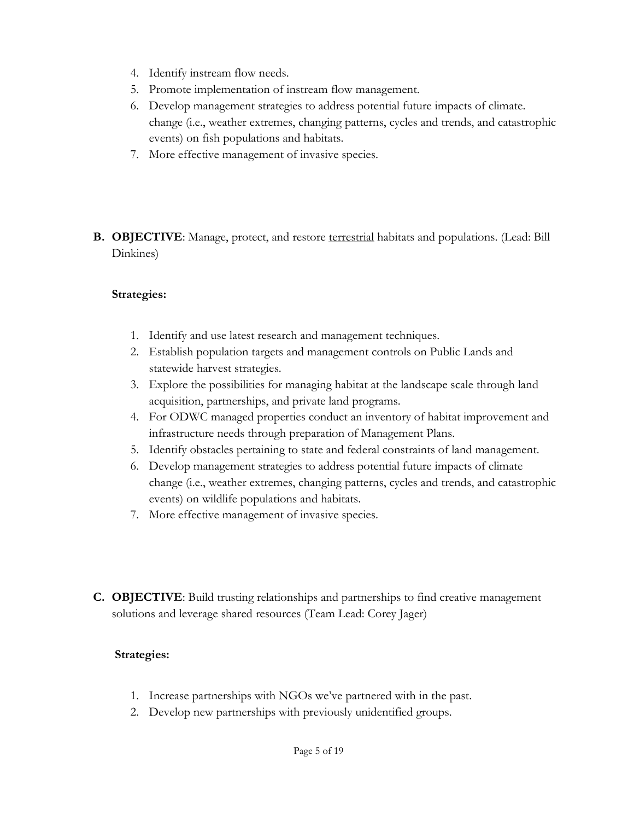- 4. Identify instream flow needs.
- 5. Promote implementation of instream flow management.
- 6. Develop management strategies to address potential future impacts of climate. change (i.e., weather extremes, changing patterns, cycles and trends, and catastrophic events) on fish populations and habitats.
- 7. More effective management of invasive species.
- **B. OBJECTIVE**: Manage, protect, and restore terrestrial habitats and populations. (Lead: Bill Dinkines)

#### **Strategies:**

- 1. Identify and use latest research and management techniques.
- 2. Establish population targets and management controls on Public Lands and statewide harvest strategies.
- 3. Explore the possibilities for managing habitat at the landscape scale through land acquisition, partnerships, and private land programs.
- 4. For ODWC managed properties conduct an inventory of habitat improvement and infrastructure needs through preparation of Management Plans.
- 5. Identify obstacles pertaining to state and federal constraints of land management.
- 6. Develop management strategies to address potential future impacts of climate change (i.e., weather extremes, changing patterns, cycles and trends, and catastrophic events) on wildlife populations and habitats.
- 7. More effective management of invasive species.
- **C. OBJECTIVE**: Build trusting relationships and partnerships to find creative management solutions and leverage shared resources (Team Lead: Corey Jager)

- 1. Increase partnerships with NGOs we've partnered with in the past.
- 2. Develop new partnerships with previously unidentified groups.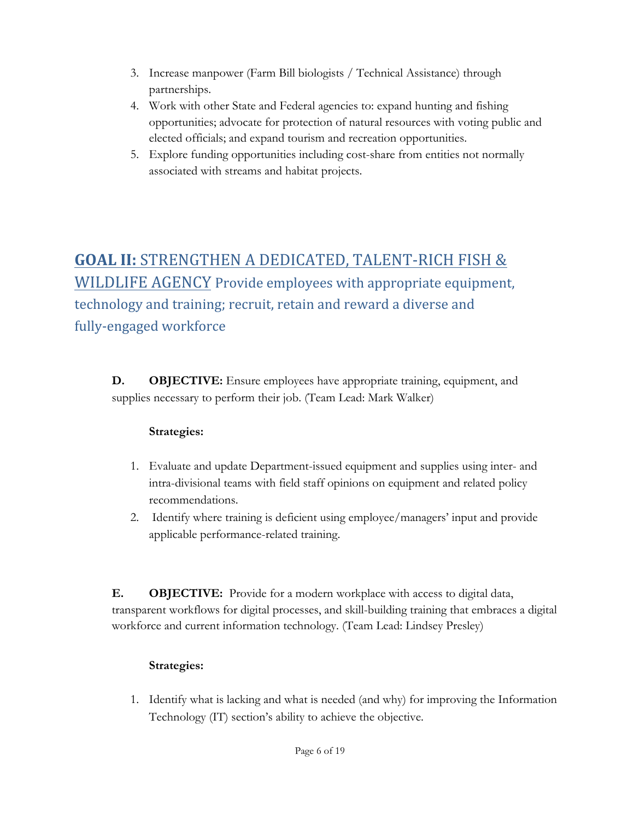- 3. Increase manpower (Farm Bill biologists / Technical Assistance) through partnerships.
- 4. Work with other State and Federal agencies to: expand hunting and fishing opportunities; advocate for protection of natural resources with voting public and elected officials; and expand tourism and recreation opportunities.
- 5. Explore funding opportunities including cost-share from entities not normally associated with streams and habitat projects.

# **GOAL II:** STRENGTHEN A DEDICATED, TALENT-RICH FISH & WILDLIFE AGENCY Provide employees with appropriate equipment, technology and training; recruit, retain and reward a diverse and fully-engaged workforce

**D. OBJECTIVE:** Ensure employees have appropriate training, equipment, and supplies necessary to perform their job. (Team Lead: Mark Walker)

## **Strategies:**

- 1. Evaluate and update Department-issued equipment and supplies using inter- and intra-divisional teams with field staff opinions on equipment and related policy recommendations.
- 2. Identify where training is deficient using employee/managers' input and provide applicable performance-related training.

**E. OBJECTIVE:** Provide for a modern workplace with access to digital data, transparent workflows for digital processes, and skill-building training that embraces a digital workforce and current information technology. (Team Lead: Lindsey Presley)

## **Strategies:**

1. Identify what is lacking and what is needed (and why) for improving the Information Technology (IT) section's ability to achieve the objective.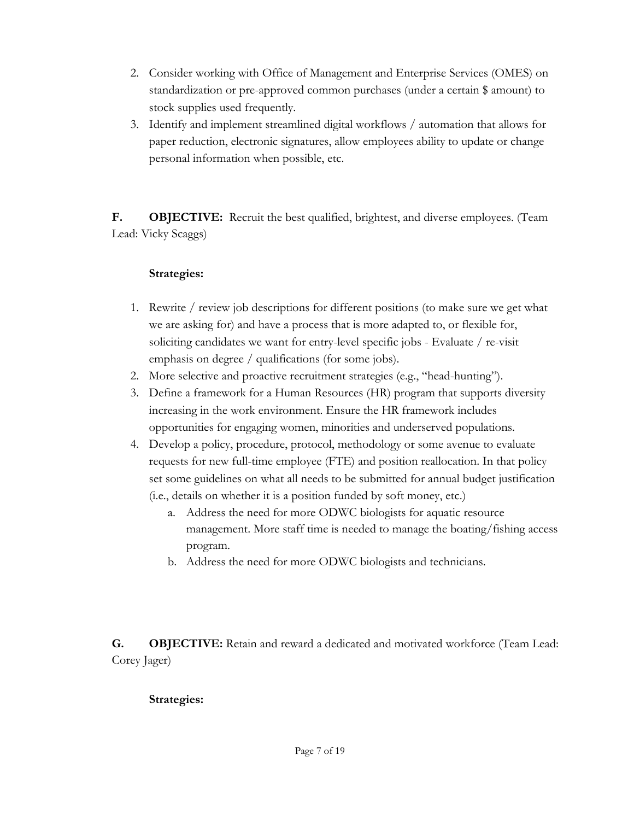- 2. Consider working with Office of Management and Enterprise Services (OMES) on standardization or pre-approved common purchases (under a certain \$ amount) to stock supplies used frequently.
- 3. Identify and implement streamlined digital workflows / automation that allows for paper reduction, electronic signatures, allow employees ability to update or change personal information when possible, etc.

**F. OBJECTIVE:** Recruit the best qualified, brightest, and diverse employees. (Team Lead: Vicky Scaggs)

### **Strategies:**

- 1. Rewrite / review job descriptions for different positions (to make sure we get what we are asking for) and have a process that is more adapted to, or flexible for, soliciting candidates we want for entry-level specific jobs - Evaluate / re-visit emphasis on degree / qualifications (for some jobs).
- 2. More selective and proactive recruitment strategies (e.g., "head-hunting").
- 3. Define a framework for a Human Resources (HR) program that supports diversity increasing in the work environment. Ensure the HR framework includes opportunities for engaging women, minorities and underserved populations.
- 4. Develop a policy, procedure, protocol, methodology or some avenue to evaluate requests for new full-time employee (FTE) and position reallocation. In that policy set some guidelines on what all needs to be submitted for annual budget justification (i.e., details on whether it is a position funded by soft money, etc.)
	- a. Address the need for more ODWC biologists for aquatic resource management. More staff time is needed to manage the boating/fishing access program.
	- b. Address the need for more ODWC biologists and technicians.

**G. OBJECTIVE:** Retain and reward a dedicated and motivated workforce (Team Lead: Corey Jager)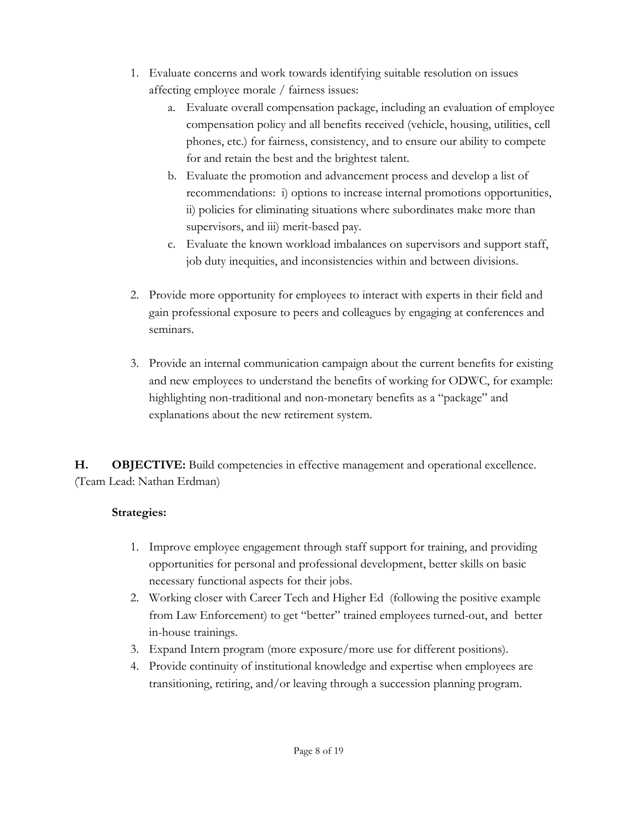- 1. Evaluate concerns and work towards identifying suitable resolution on issues affecting employee morale / fairness issues:
	- a. Evaluate overall compensation package, including an evaluation of employee compensation policy and all benefits received (vehicle, housing, utilities, cell phones, etc.) for fairness, consistency, and to ensure our ability to compete for and retain the best and the brightest talent.
	- b. Evaluate the promotion and advancement process and develop a list of recommendations: i) options to increase internal promotions opportunities, ii) policies for eliminating situations where subordinates make more than supervisors, and iii) merit-based pay.
	- c. Evaluate the known workload imbalances on supervisors and support staff, job duty inequities, and inconsistencies within and between divisions.
- 2. Provide more opportunity for employees to interact with experts in their field and gain professional exposure to peers and colleagues by engaging at conferences and seminars.
- 3. Provide an internal communication campaign about the current benefits for existing and new employees to understand the benefits of working for ODWC, for example: highlighting non-traditional and non-monetary benefits as a "package" and explanations about the new retirement system.

**H. OBJECTIVE:** Build competencies in effective management and operational excellence. (Team Lead: Nathan Erdman)

- 1. Improve employee engagement through staff support for training, and providing opportunities for personal and professional development, better skills on basic necessary functional aspects for their jobs.
- 2. Working closer with Career Tech and Higher Ed (following the positive example from Law Enforcement) to get "better" trained employees turned-out, and better in-house trainings.
- 3. Expand Intern program (more exposure/more use for different positions).
- 4. Provide continuity of institutional knowledge and expertise when employees are transitioning, retiring, and/or leaving through a succession planning program.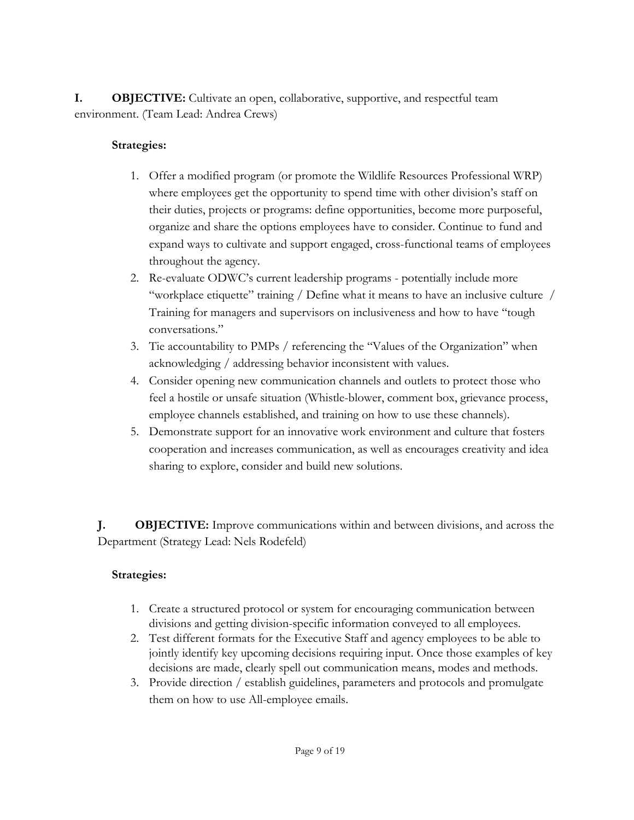**I. OBJECTIVE:** Cultivate an open, collaborative, supportive, and respectful team environment. (Team Lead: Andrea Crews)

### **Strategies:**

- 1. Offer a modified program (or promote the Wildlife Resources Professional WRP) where employees get the opportunity to spend time with other division's staff on their duties, projects or programs: define opportunities, become more purposeful, organize and share the options employees have to consider. Continue to fund and expand ways to cultivate and support engaged, cross-functional teams of employees throughout the agency.
- 2. Re-evaluate ODWC's current leadership programs potentially include more "workplace etiquette" training / Define what it means to have an inclusive culture / Training for managers and supervisors on inclusiveness and how to have "tough conversations."
- 3. Tie accountability to PMPs / referencing the "Values of the Organization" when acknowledging / addressing behavior inconsistent with values.
- 4. Consider opening new communication channels and outlets to protect those who feel a hostile or unsafe situation (Whistle-blower, comment box, grievance process, employee channels established, and training on how to use these channels).
- 5. Demonstrate support for an innovative work environment and culture that fosters cooperation and increases communication, as well as encourages creativity and idea sharing to explore, consider and build new solutions.

**J. OBJECTIVE:** Improve communications within and between divisions, and across the Department (Strategy Lead: Nels Rodefeld)

- 1. Create a structured protocol or system for encouraging communication between divisions and getting division-specific information conveyed to all employees.
- 2. Test different formats for the Executive Staff and agency employees to be able to jointly identify key upcoming decisions requiring input. Once those examples of key decisions are made, clearly spell out communication means, modes and methods.
- 3. Provide direction / establish guidelines, parameters and protocols and promulgate them on how to use All-employee emails.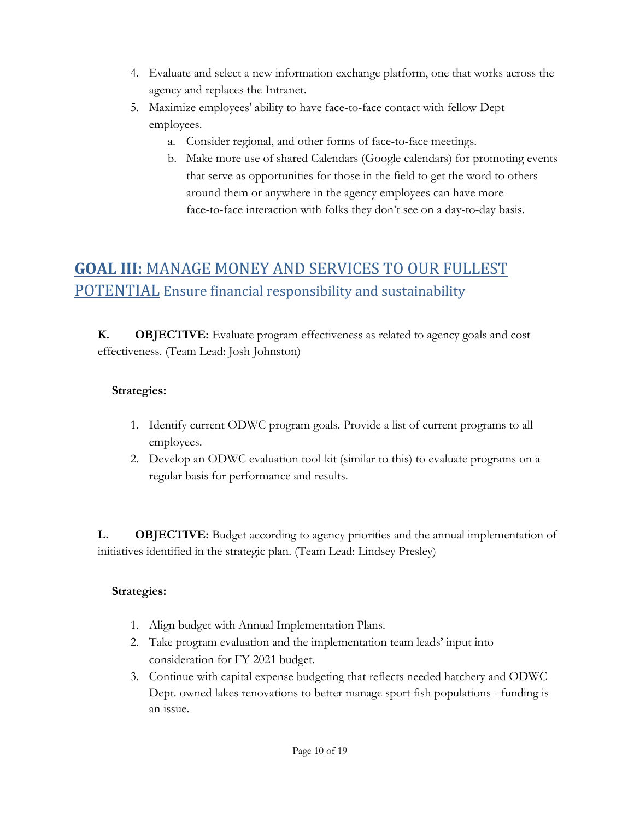- 4. Evaluate and select a new information exchange platform, one that works across the agency and replaces the Intranet.
- 5. Maximize employees' ability to have face-to-face contact with fellow Dept employees.
	- a. Consider regional, and other forms of face-to-face meetings.
	- b. Make more use of shared Calendars (Google calendars) for promoting events that serve as opportunities for those in the field to get the word to others around them or anywhere in the agency employees can have more face-to-face interaction with folks they don't see on a day-to-day basis.

# <span id="page-9-0"></span>**GOAL III:** MANAGE MONEY AND SERVICES TO OUR FULLEST POTENTIAL Ensure financial responsibility and sustainability

**K. OBJECTIVE:** Evaluate program effectiveness as related to agency goals and cost effectiveness. (Team Lead: Josh Johnston)

### **Strategies:**

- 1. Identify current ODWC program goals. Provide a list of current programs to all employees.
- 2. Develop an ODWC evaluation tool-kit (similar to [this\)](https://drive.google.com/open?id=1tkHtq0rZg1cRNx90EHhdC3CaCIUQ4LJ6) to evaluate programs on a regular basis for performance and results.

**L. OBJECTIVE:** Budget according to agency priorities and the annual implementation of initiatives identified in the strategic plan. (Team Lead: Lindsey Presley)

- 1. Align budget with Annual Implementation Plans.
- 2. Take program evaluation and the implementation team leads' input into consideration for FY 2021 budget.
- 3. Continue with capital expense budgeting that reflects needed hatchery and ODWC Dept. owned lakes renovations to better manage sport fish populations - funding is an issue.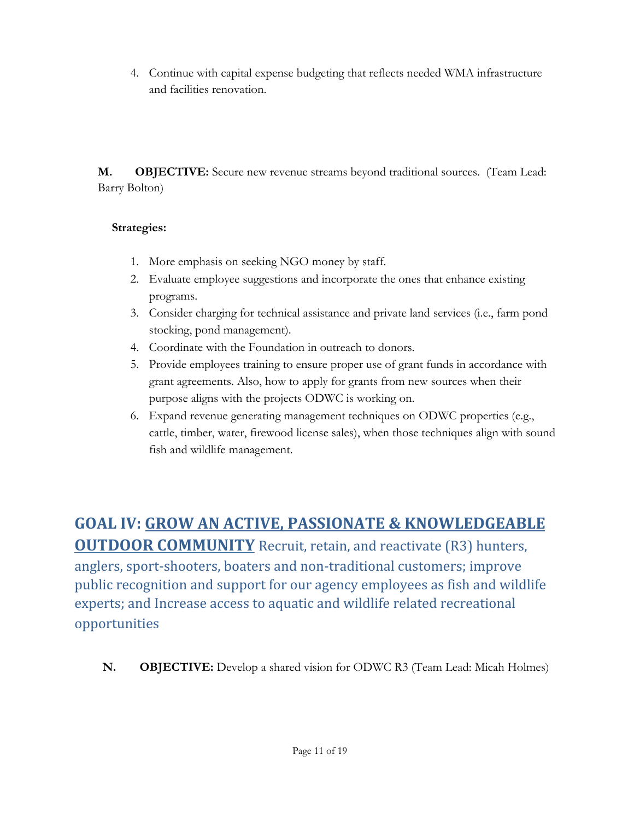4. Continue with capital expense budgeting that reflects needed WMA infrastructure and facilities renovation.

**M. OBJECTIVE:** Secure new revenue streams beyond traditional sources. (Team Lead: Barry Bolton)

## **Strategies:**

- 1. More emphasis on seeking NGO money by staff.
- 2. Evaluate employee suggestions and incorporate the ones that enhance existing programs.
- 3. Consider charging for technical assistance and private land services (i.e., farm pond stocking, pond management).
- 4. Coordinate with the Foundation in outreach to donors.
- 5. Provide employees training to ensure proper use of grant funds in accordance with grant agreements. Also, how to apply for grants from new sources when their purpose aligns with the projects ODWC is working on.
- 6. Expand revenue generating management techniques on ODWC properties (e.g., cattle, timber, water, firewood license sales), when those techniques align with sound fish and wildlife management.

# <span id="page-10-0"></span>**GOAL IV: GROW AN ACTIVE, PASSIONATE & KNOWLEDGEABLE**

**OUTDOOR COMMUNITY** Recruit, retain, and reactivate (R3) hunters, anglers, sport-shooters, boaters and non-traditional customers; improve public recognition and support for our agency employees as fish and wildlife experts; and Increase access to aquatic and wildlife related recreational opportunities

**N. OBJECTIVE:** Develop a shared vision for ODWC R3 (Team Lead: Micah Holmes)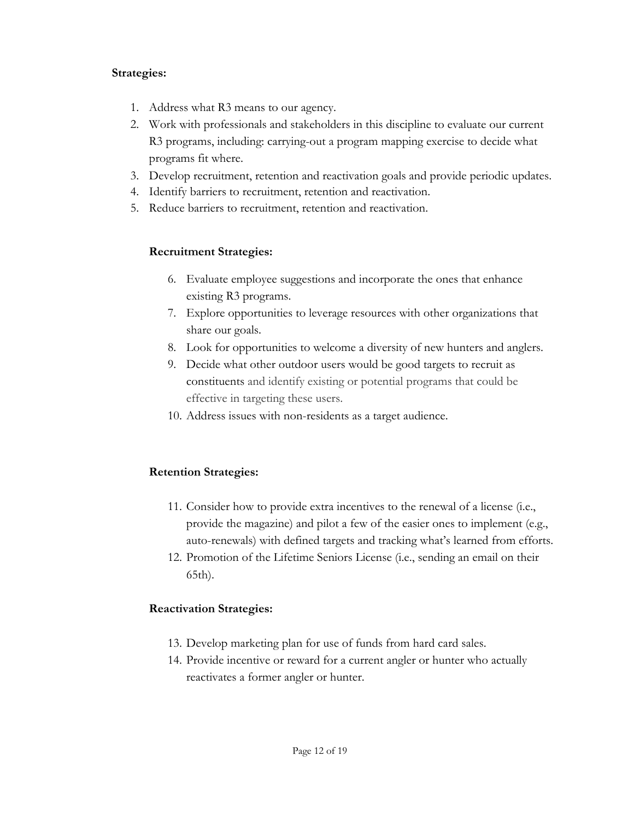#### **Strategies:**

- 1. Address what R3 means to our agency.
- 2. Work with professionals and stakeholders in this discipline to evaluate our current R3 programs, including: carrying-out a program mapping exercise to decide what programs fit where.
- 3. Develop recruitment, retention and reactivation goals and provide periodic updates.
- 4. Identify barriers to recruitment, retention and reactivation.
- 5. Reduce barriers to recruitment, retention and reactivation.

### **Recruitment Strategies:**

- 6. Evaluate employee suggestions and incorporate the ones that enhance existing R3 programs.
- 7. Explore opportunities to leverage resources with other organizations that share our goals.
- 8. Look for opportunities to welcome a diversity of new hunters and anglers.
- 9. Decide what other outdoor users would be good targets to recruit as constituents and identify existing or potential programs that could be effective in targeting these users.
- 10. Address issues with non-residents as a target audience.

### **Retention Strategies:**

- 11. Consider how to provide extra incentives to the renewal of a license (i.e., provide the magazine) and pilot a few of the easier ones to implement (e.g., auto-renewals) with defined targets and tracking what's learned from efforts.
- 12. Promotion of the Lifetime Seniors License (i.e., sending an email on their 65th).

### **Reactivation Strategies:**

- 13. Develop marketing plan for use of funds from hard card sales.
- 14. Provide incentive or reward for a current angler or hunter who actually reactivates a former angler or hunter.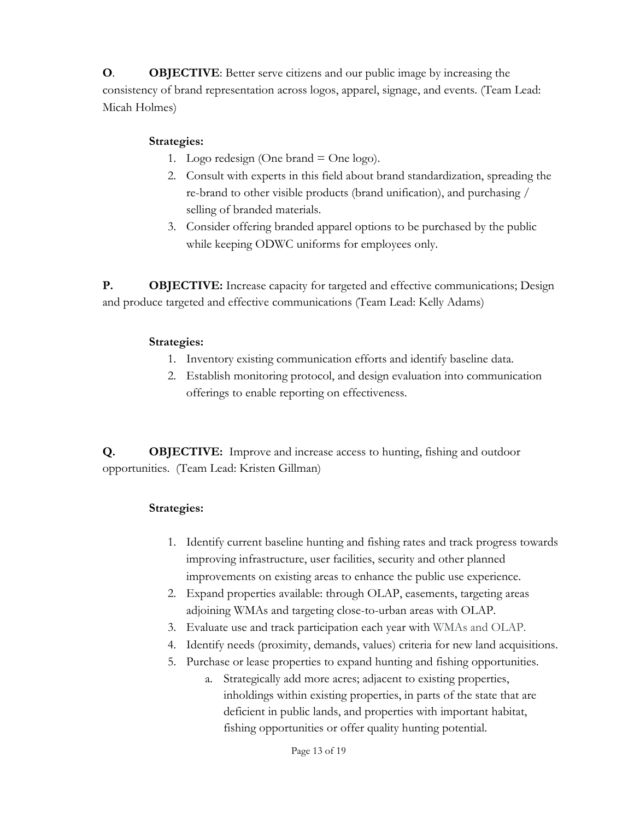**O**. **OBJECTIVE**: Better serve citizens and our public image by increasing the consistency of brand representation across logos, apparel, signage, and events. (Team Lead: Micah Holmes)

### **Strategies:**

- 1. Logo redesign (One brand  $=$  One logo).
- 2. Consult with experts in this field about brand standardization, spreading the re-brand to other visible products (brand unification), and purchasing / selling of branded materials.
- 3. Consider offering branded apparel options to be purchased by the public while keeping ODWC uniforms for employees only.

**P. OBJECTIVE:** Increase capacity for targeted and effective communications; Design and produce targeted and effective communications (Team Lead: Kelly Adams)

## **Strategies:**

- 1. Inventory existing communication efforts and identify baseline data.
- 2. Establish monitoring protocol, and design evaluation into communication offerings to enable reporting on effectiveness.

**Q. OBJECTIVE:** Improve and increase access to hunting, fishing and outdoor opportunities. (Team Lead: Kristen Gillman)

- 1. Identify current baseline hunting and fishing rates and track progress towards improving infrastructure, user facilities, security and other planned improvements on existing areas to enhance the public use experience.
- 2. Expand properties available: through OLAP, easements, targeting areas adjoining WMAs and targeting close-to-urban areas with OLAP.
- 3. Evaluate use and track participation each year with WMAs and OLAP.
- 4. Identify needs (proximity, demands, values) criteria for new land acquisitions.
- 5. Purchase or lease properties to expand hunting and fishing opportunities.
	- a. Strategically add more acres; adjacent to existing properties, inholdings within existing properties, in parts of the state that are deficient in public lands, and properties with important habitat, fishing opportunities or offer quality hunting potential.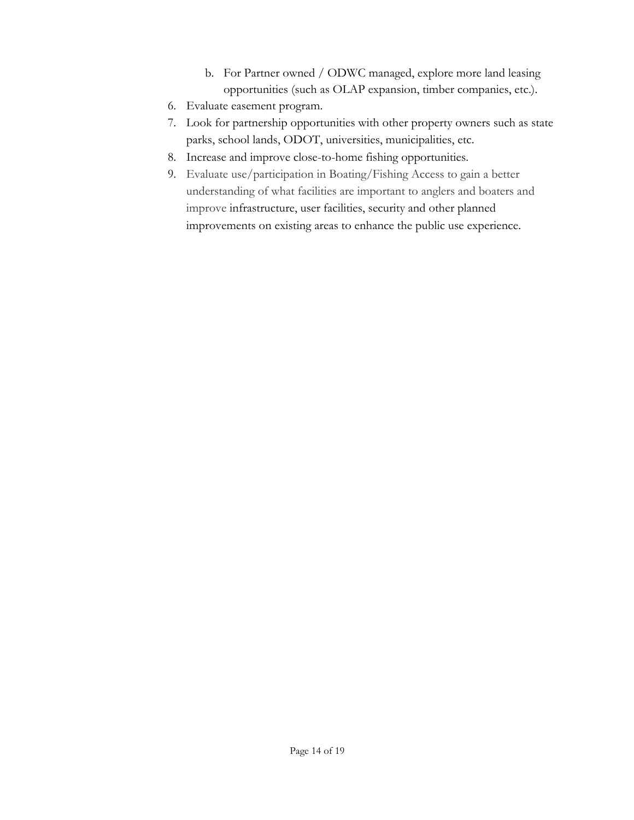- b. For Partner owned / ODWC managed, explore more land leasing opportunities (such as OLAP expansion, timber companies, etc.).
- 6. Evaluate easement program.
- 7. Look for partnership opportunities with other property owners such as state parks, school lands, ODOT, universities, municipalities, etc.
- 8. Increase and improve close-to-home fishing opportunities.
- 9. Evaluate use/participation in Boating/Fishing Access to gain a better understanding of what facilities are important to anglers and boaters and improve infrastructure, user facilities, security and other planned improvements on existing areas to enhance the public use experience.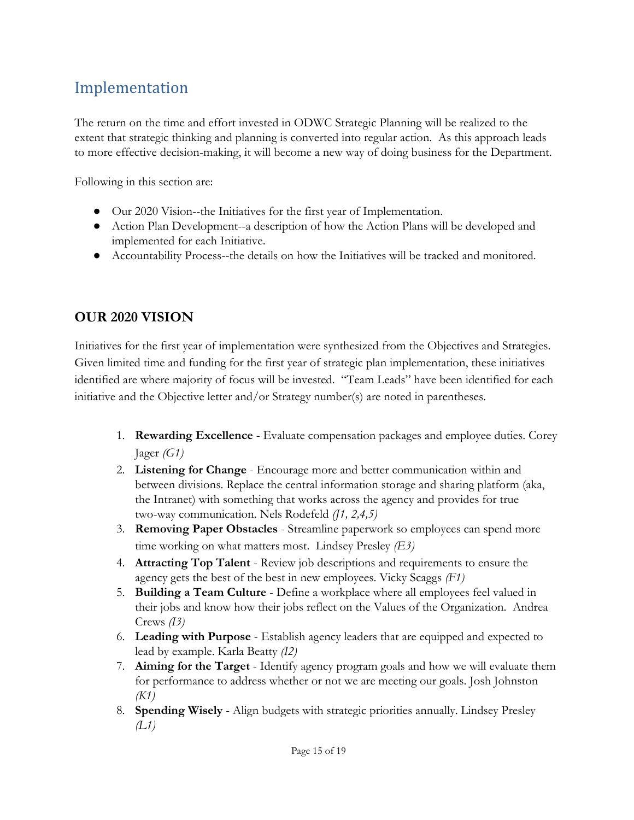# Implementation

The return on the time and effort invested in ODWC Strategic Planning will be realized to the extent that strategic thinking and planning is converted into regular action. As this approach leads to more effective decision-making, it will become a new way of doing business for the Department.

Following in this section are:

- Our 2020 Vision--the Initiatives for the first year of Implementation.
- Action Plan Development--a description of how the Action Plans will be developed and implemented for each Initiative.
- Accountability Process--the details on how the Initiatives will be tracked and monitored.

## **OUR 2020 VISION**

Initiatives for the first year of implementation were synthesized from the Objectives and Strategies. Given limited time and funding for the first year of strategic plan implementation, these initiatives identified are where majority of focus will be invested. "Team Leads" have been identified for each initiative and the Objective letter and/or Strategy number(s) are noted in parentheses.

- 1. **Rewarding Excellence** Evaluate compensation packages and employee duties. Corey Jager *(G1)*
- 2. **Listening for Change** Encourage more and better communication within and between divisions. Replace the central information storage and sharing platform (aka, the Intranet) with something that works across the agency and provides for true two-way communication. Nels Rodefeld *(J1, 2,4,5)*
- 3. **Removing Paper Obstacles** Streamline paperwork so employees can spend more time working on what matters most. Lindsey Presley *(E3)*
- 4. **Attracting Top Talent** Review job descriptions and requirements to ensure the agency gets the best of the best in new employees. Vicky Scaggs *(F1)*
- 5. **Building a Team Culture**  Define a workplace where all employees feel valued in their jobs and know how their jobs reflect on the Values of the Organization. Andrea Crews *(I3)*
- 6. **Leading with Purpose** Establish agency leaders that are equipped and expected to lead by example. Karla Beatty *(I2)*
- 7. **Aiming for the Target** Identify agency program goals and how we will evaluate them for performance to address whether or not we are meeting our goals. Josh Johnston *(K1)*
- 8. **Spending Wisely** Align budgets with strategic priorities annually. Lindsey Presley *(L1)*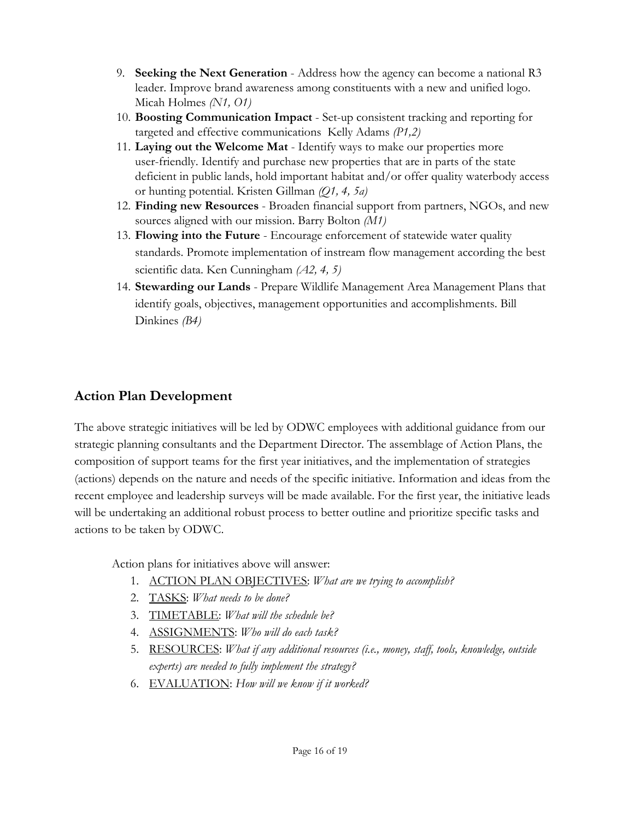- 9. **Seeking the Next Generation** Address how the agency can become a national R3 leader. Improve brand awareness among constituents with a new and unified logo. Micah Holmes *(N1, O1)*
- 10. **Boosting Communication Impact**  Set-up consistent tracking and reporting for targeted and effective communications Kelly Adams *(P1,2)*
- 11. **Laying out the Welcome Mat** Identify ways to make our properties more user-friendly. Identify and purchase new properties that are in parts of the state deficient in public lands, hold important habitat and/or offer quality waterbody access or hunting potential. Kristen Gillman *(Q1, 4, 5a)*
- 12. **Finding new Resources** Broaden financial support from partners, NGOs, and new sources aligned with our mission. Barry Bolton *(M1)*
- 13. **Flowing into the Future** Encourage enforcement of statewide water quality standards. Promote implementation of instream flow management according the best scientific data. Ken Cunningham *(A2, 4, 5)*
- 14. **Stewarding our Lands** Prepare Wildlife Management Area Management Plans that identify goals, objectives, management opportunities and accomplishments. Bill Dinkines *(B4)*

# **Action Plan Development**

The above strategic initiatives will be led by ODWC employees with additional guidance from our strategic planning consultants and the Department Director. The assemblage of Action Plans, the composition of support teams for the first year initiatives, and the implementation of strategies (actions) depends on the nature and needs of the specific initiative. Information and ideas from the recent employee and leadership surveys will be made available. For the first year, the initiative leads will be undertaking an additional robust process to better outline and prioritize specific tasks and actions to be taken by ODWC.

Action plans for initiatives above will answer:

- 1. ACTION PLAN OBJECTIVES: *What are we trying to accomplish?*
- 2. TASKS: *What needs to be done?*
- 3. TIMETABLE: *What will the schedule be?*
- 4. ASSIGNMENTS: *Who will do each task?*
- 5. RESOURCES: *What if any additional resources (i.e., money, staff, tools, knowledge, outside experts) are needed to fully implement the strategy?*
- 6. EVALUATION: *How will we know if it worked?*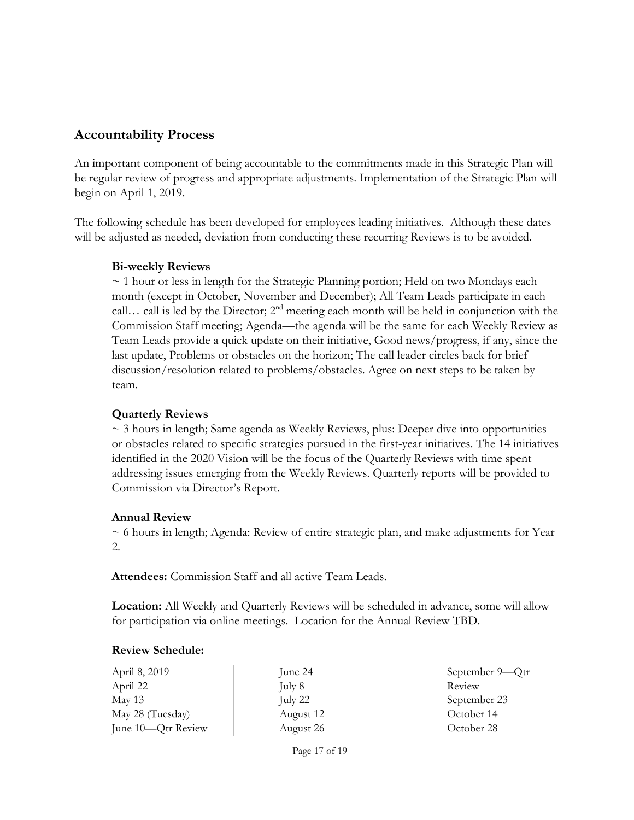## **Accountability Process**

An important component of being accountable to the commitments made in this Strategic Plan will be regular review of progress and appropriate adjustments. Implementation of the Strategic Plan will begin on April 1, 2019.

The following schedule has been developed for employees leading initiatives. Although these dates will be adjusted as needed, deviation from conducting these recurring Reviews is to be avoided.

#### **Bi-weekly Reviews**

~ 1 hour or less in length for the Strategic Planning portion; Held on two Mondays each month (except in October, November and December); All Team Leads participate in each call... call is led by the Director;  $2<sup>nd</sup>$  meeting each month will be held in conjunction with the Commission Staff meeting; Agenda—the agenda will be the same for each Weekly Review as Team Leads provide a quick update on their initiative, Good news/progress, if any, since the last update, Problems or obstacles on the horizon; The call leader circles back for brief discussion/resolution related to problems/obstacles. Agree on next steps to be taken by team.

### **Quarterly Reviews**

 $\sim$  3 hours in length; Same agenda as Weekly Reviews, plus: Deeper dive into opportunities or obstacles related to specific strategies pursued in the first-year initiatives. The 14 initiatives identified in the 2020 Vision will be the focus of the Quarterly Reviews with time spent addressing issues emerging from the Weekly Reviews. Quarterly reports will be provided to Commission via Director's Report.

### **Annual Review**

 $\sim$  6 hours in length; Agenda: Review of entire strategic plan, and make adjustments for Year 2.

**Attendees:** Commission Staff and all active Team Leads.

**Location:** All Weekly and Quarterly Reviews will be scheduled in advance, some will allow for participation via online meetings. Location for the Annual Review TBD.

### **Review Schedule:**

April 8, 2019 April 22 May 13 May 28 (Tuesday) June 10—Qtr Review

June 24 July 8 July 22 August 12 August 26

September 9—Qtr Review September 23 October 14 October 28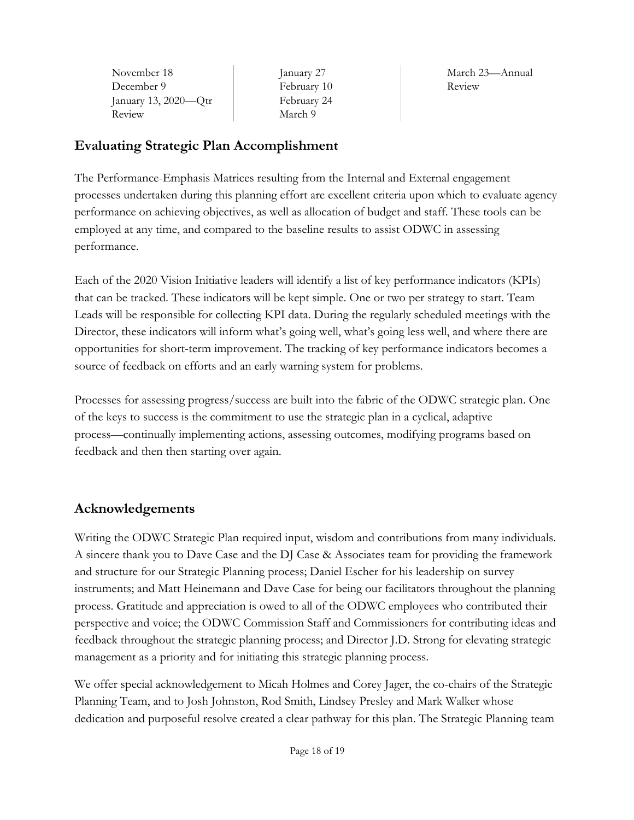| November 18             | lai       |
|-------------------------|-----------|
| December 9              | $\rm Fe$  |
| January 13, $2020$ —Qtr | $\rm{Fe}$ |
| Review                  | М         |

nuary 27 ebruary 10 ebruary 24 arch 9

March 23—Annual Review

# **Evaluating Strategic Plan Accomplishment**

The Performance-Emphasis Matrices resulting from the Internal and External engagement processes undertaken during this planning effort are excellent criteria upon which to evaluate agency performance on achieving objectives, as well as allocation of budget and staff. These tools can be employed at any time, and compared to the baseline results to assist ODWC in assessing performance.

Each of the 2020 Vision Initiative leaders will identify a list of key performance indicators (KPIs) that can be tracked. These indicators will be kept simple. One or two per strategy to start. Team Leads will be responsible for collecting KPI data. During the regularly scheduled meetings with the Director, these indicators will inform what's going well, what's going less well, and where there are opportunities for short-term improvement. The tracking of key performance indicators becomes a source of feedback on efforts and an early warning system for problems.

Processes for assessing progress/success are built into the fabric of the ODWC strategic plan. One of the keys to success is the commitment to use the strategic plan in a cyclical, adaptive process—continually implementing actions, assessing outcomes, modifying programs based on feedback and then then starting over again.

# **Acknowledgements**

Writing the ODWC Strategic Plan required input, wisdom and contributions from many individuals. A sincere thank you to Dave Case and the DJ Case & Associates team for providing the framework and structure for our Strategic Planning process; Daniel Escher for his leadership on survey instruments; and Matt Heinemann and Dave Case for being our facilitators throughout the planning process. Gratitude and appreciation is owed to all of the ODWC employees who contributed their perspective and voice; the ODWC Commission Staff and Commissioners for contributing ideas and feedback throughout the strategic planning process; and Director J.D. Strong for elevating strategic management as a priority and for initiating this strategic planning process.

We offer special acknowledgement to Micah Holmes and Corey Jager, the co-chairs of the Strategic Planning Team, and to Josh Johnston, Rod Smith, Lindsey Presley and Mark Walker whose dedication and purposeful resolve created a clear pathway for this plan. The Strategic Planning team